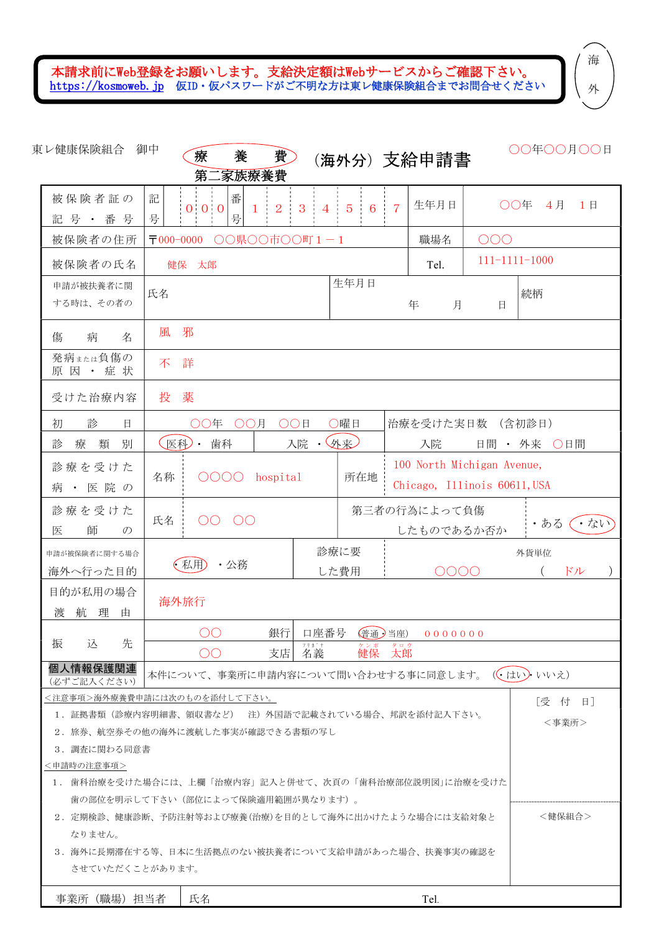本請求前にWeb登録をお願いします。支給決定額はWebサービスからご確認下さい。 https://kosmoweb.jp 仮ID・仮パスワードがご不明な方は東レ健康保険組合までお問合せください

外

| 東レ健康保険組合 御中                                                        | 療<br>養<br>第二家族療養費                              | 費                             |                                                    | (海外分)支給申請書                 |                                                            | ○○年○○月○○日  |  |
|--------------------------------------------------------------------|------------------------------------------------|-------------------------------|----------------------------------------------------|----------------------------|------------------------------------------------------------|------------|--|
| 被保険者証の<br>記号 · 番号                                                  | 記<br>番<br>$0\quad 0\quad 0$<br>号<br>号          | 3<br>2<br>1<br>4 <sup>1</sup> | $\frac{1}{2}$<br>5 <sup>5</sup><br>$6\overline{6}$ | 生年月日                       | OO年                                                        | 4月<br>1日   |  |
| 被保険者の住所                                                            | $\overline{1000-0000}$                         | ○○県○○市○○町1-1                  |                                                    | 職場名                        | OOO                                                        |            |  |
| 被保険者の氏名                                                            | 健保 太郎                                          |                               |                                                    | Tel.                       | $111 - 1111 - 1000$                                        |            |  |
| 申請が被扶養者に関<br>する時は、その者の                                             | 氏名                                             |                               | 生年月日                                               | 年<br>月                     | 日                                                          | 続柄         |  |
| 病<br>傷<br>名                                                        | 邪<br>風                                         |                               |                                                    |                            |                                                            |            |  |
| 発病または負傷の<br>原因 ・ 症 状                                               | 詳<br>不                                         |                               |                                                    |                            |                                                            |            |  |
| 受けた治療内容                                                            | 投<br>薬                                         |                               |                                                    |                            |                                                            |            |  |
| 診<br>初<br>日                                                        | ○○年 ○○月                                        | OO目                           | ○曜日                                                |                            | 治療を受けた実日数 (含初診日)                                           |            |  |
| 診<br>療<br>類<br>別                                                   | 医科)・<br>歯科                                     | 入院                            | $\cdot$ (外来)                                       | 入院                         | 日間 • 外来 ○日間                                                |            |  |
| 診療を受けた<br>病・医院の                                                    | 0000<br>所在地<br>名称<br>hospital                  |                               |                                                    |                            | 100 North Michigan Avenue,<br>Chicago, Illinois 60611, USA |            |  |
|                                                                    |                                                |                               |                                                    |                            |                                                            |            |  |
| 診療を受けた<br>師<br>医<br>$\mathcal{O}$                                  | 氏名<br>OO<br>$\circ$ OO                         |                               |                                                    | 第三者の行為によって負傷<br>したものであるか否か |                                                            | ・ない<br>・ある |  |
| 申請が被保険者に関する場合<br>海外へ行った目的                                          | (私用)<br>・公務                                    |                               | 診療に要<br>した費用                                       | 0000                       |                                                            | 外貨単位<br>ドル |  |
| 目的が私用の場合<br>航<br>理<br>渡<br>由                                       | 海外旅行                                           |                               |                                                    |                            |                                                            |            |  |
|                                                                    | $\circ$ OO                                     | 銀行                            |                                                    | 口座番号 (普通)当座) 0000000       |                                                            |            |  |
| 振<br>込<br>先                                                        | OO                                             | フリカ゛ナ<br>支店<br>名義             | 健保                                                 | タロウ<br>太郎                  |                                                            |            |  |
| 個人情報保護関連<br>(必ずご記入ください)                                            | 本件について、事業所に申請内容について問い合わせする事に同意します。( ( はい) いいえ) |                               |                                                    |                            |                                                            |            |  |
|                                                                    | <注意事項>海外療養費申請には次のものを添付して下さい。                   |                               |                                                    |                            |                                                            | 「受付日】      |  |
| 1.証拠書類(診療内容明細書、領収書など) 注)外国語で記載されている場合、邦訳を添付記入下さい。<br><事業所>         |                                                |                               |                                                    |                            |                                                            |            |  |
| 2.旅券、航空券その他の海外に渡航した事実が確認できる書類の写し                                   |                                                |                               |                                                    |                            |                                                            |            |  |
| 3.調査に関わる同意書                                                        |                                                |                               |                                                    |                            |                                                            |            |  |
| <申請時の注意事項><br>1. 歯科治療を受けた場合には、上欄「治療内容」記入と併せて、次頁の「歯科治療部位説明図」に治療を受けた |                                                |                               |                                                    |                            |                                                            |            |  |
| 歯の部位を明示して下さい(部位によって保険適用範囲が異なります)。                                  |                                                |                               |                                                    |                            |                                                            |            |  |
| 2.定期検診、健康診断、予防注射等および療養(治療)を目的として海外に出かけたような場合には支給対象と                |                                                |                               |                                                    | <健保組合>                     |                                                            |            |  |
| なりません。<br>3.海外に長期滞在する等、日本に生活拠点のない被扶養者について支給申請があった場合、扶養事実の確認を       |                                                |                               |                                                    |                            |                                                            |            |  |
| させていただくことがあります。                                                    |                                                |                               |                                                    |                            |                                                            |            |  |
| 事業所(職場)担当者                                                         | 氏名                                             |                               |                                                    | Tel.                       |                                                            |            |  |

海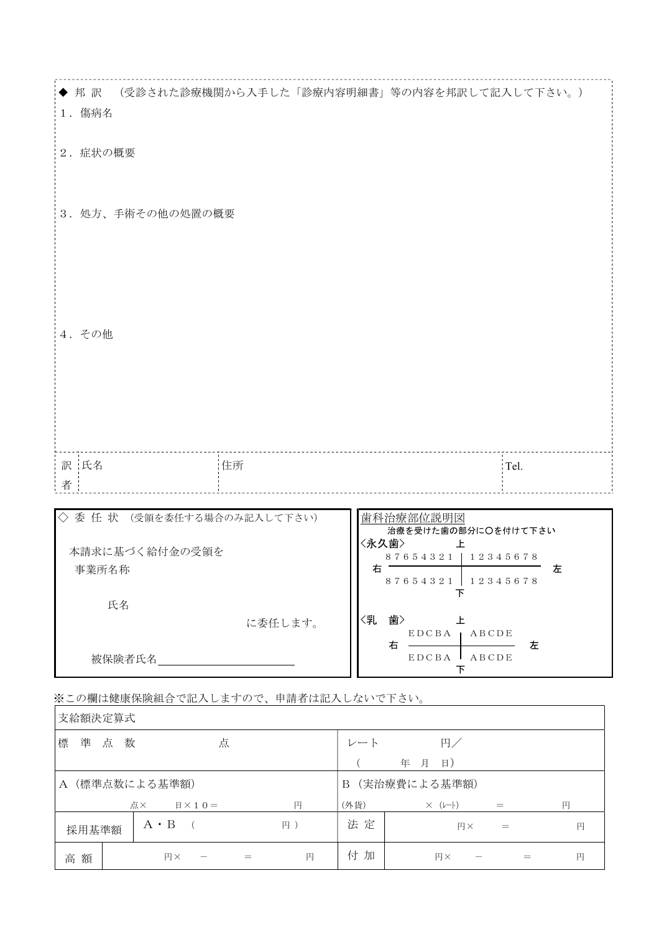| (受診された診療機関から入手した「診療内容明細書」等の内容を邦訳して記入して下さい。)<br>◆ 邦訳<br>1. 傷病名 |                                                                                                      |
|---------------------------------------------------------------|------------------------------------------------------------------------------------------------------|
| 2. 症状の概要                                                      |                                                                                                      |
| 3. 処方、手術その他の処置の概要                                             |                                                                                                      |
| 4. その他                                                        |                                                                                                      |
| 訳 氏名<br>住所                                                    | Tel.                                                                                                 |
| 者                                                             |                                                                                                      |
| ◇委任状<br>(受領を委任する場合のみ記入して下さい)<br>本請求に基づく給付金の受領を<br>事業所名称       | 歯科治療部位説明図<br>治療を受けた歯の部分に〇を付けて下さい<br>〈永久歯〉<br>ᆂ<br>87654321   12345678<br>右<br>左<br>87654321 12345678 |
| 氏名<br>に委任します。                                                 | 下<br>〈乳<br>歯> カランド<br>上                                                                              |
| 被保険者氏名_                                                       | EDCBA   ABCDE<br>左<br>EDCBA ABCDE<br>下                                                               |

※この欄は健康保険組合で記入しますので、申請者は記入しないで下さい。

| 支給額決定算式           |                                 |    |                   |                           |     |   |
|-------------------|---------------------------------|----|-------------------|---------------------------|-----|---|
| 準<br>標<br>点 数     | 点                               |    | レート               | 円/                        |     |   |
|                   |                                 |    |                   | 年<br>$\vert$ $\vert$<br>月 |     |   |
| (標準点数による基準額)<br>A |                                 |    | (実治療費による基準額)<br>B |                           |     |   |
|                   | 点×<br>$\mathbb{H} \times 1 = 0$ | 円  | (外貨)              | $\times$ ( $\nu$ -})      | $=$ | 円 |
| 採用基準額             | $A \cdot B$                     | 円) | 法定                | 円×                        |     | 円 |
| 高額                | 円×<br>$=$                       | 円  | 付<br>加            | 円×                        |     | 円 |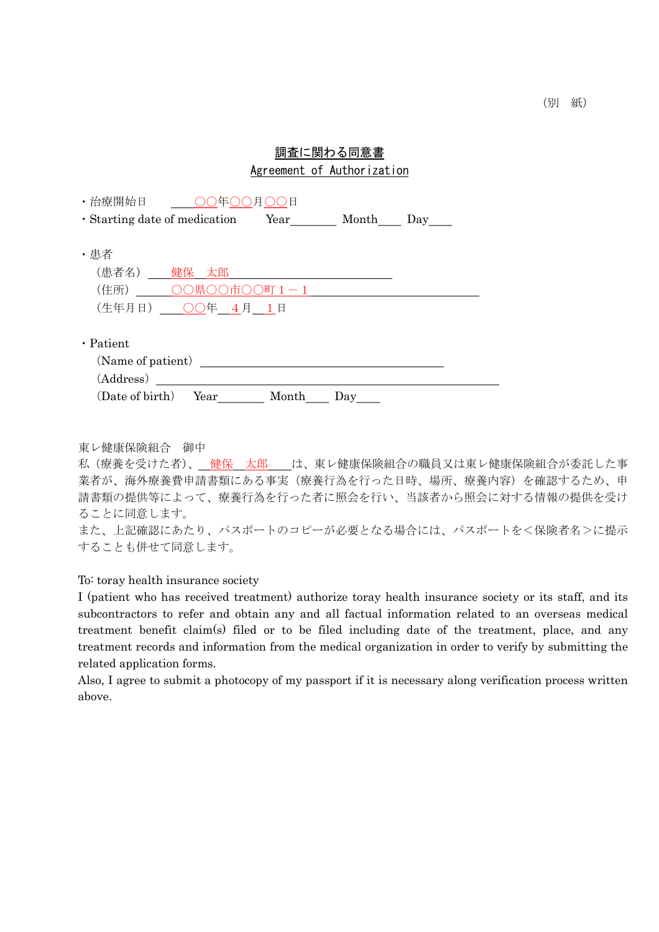## 調査に関わる同意書 Agreement of Authorization

| ・治療開始日                        |           |   |                |  |
|-------------------------------|-----------|---|----------------|--|
| · Starting date of medication |           |   | Year Month Day |  |
|                               |           |   |                |  |
| ・患者                           |           |   |                |  |
| (患者名)                         | 健保 太郎     |   |                |  |
| (住所)                          | 県         | 町 |                |  |
| (生年月日)                        | ○○年 4月 1日 |   |                |  |
|                               |           |   |                |  |
| $\cdot$ Patient               |           |   |                |  |
| (Name of patient)             |           |   |                |  |
| (Address)                     |           |   |                |  |
|                               |           |   |                |  |

東レ健康保険組合 御中

私(療養を受けた者)、 健保 太郎 は、東レ健康保険組合の職員又は東レ健康保険組合が委託した事 業者が、海外療養費申請書類にある事実(療養行為を行った日時、場所、療養内容)を確認するため、申 請書類の提供等によって、療養行為を行った者に照会を行い、当該者から照会に対する情報の提供を受け ることに同意します。 また、上記確認にあたり、パスポートのコピーが必要となる場合には、パスポートを<保険者名>に提示

することも併せて同意します。

To: toray health insurance society

I (patient who has received treatment) authorize toray health insurance society or its staff, and its subcontractors to refer and obtain any and all factual information related to an overseas medical treatment benefit claim(s) filed or to be filed including date of the treatment, place, and any treatment records and information from the medical organization in order to verify by submitting the related application forms.

Also, I agree to submit a photocopy of my passport if it is necessary along verification process written above.